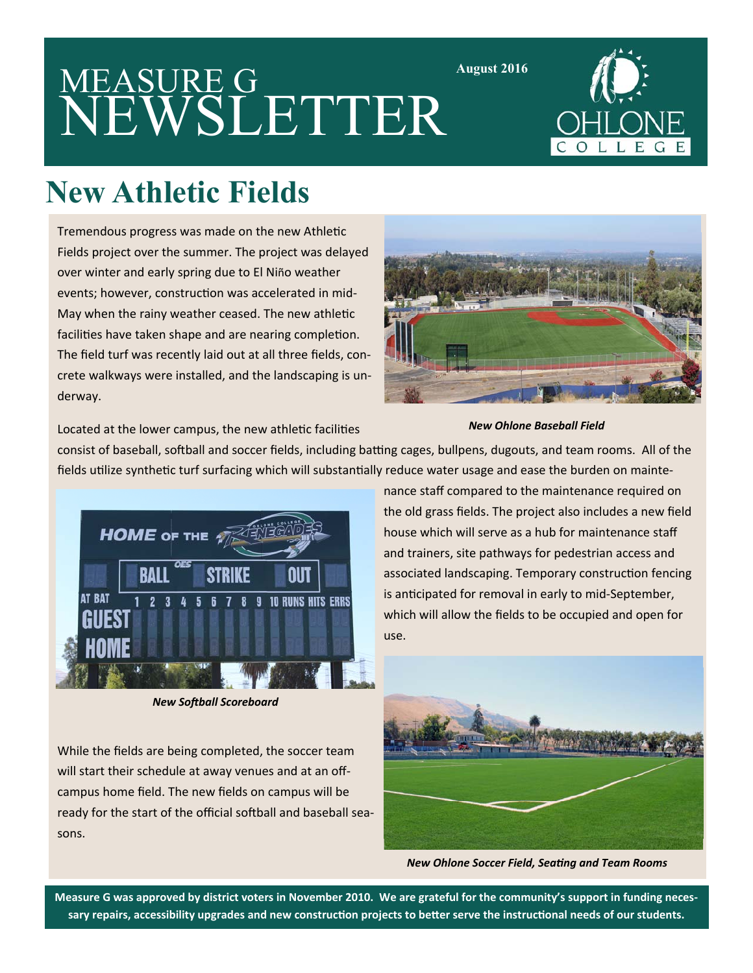# MEASURE G NEWSLETTER



### **New Athletic Fields**

Tremendous progress was made on the new Athletic Fields project over the summer. The project was delayed over winter and early spring due to El Niño weather events; however, construction was accelerated in mid-May when the rainy weather ceased. The new athletic facilities have taken shape and are nearing completion. The field turf was recently laid out at all three fields, con‐ crete walkways were installed, and the landscaping is un‐ derway.



**August 2016** 

#### *New Ohlone Baseball Field*

Located at the lower campus, the new athletic facilities

consist of baseball, softball and soccer fields, including batting cages, bullpens, dugouts, and team rooms. All of the fields utilize synthetic turf surfacing which will substantially reduce water usage and ease the burden on mainte-



**New Softball Scoreboard** 

While the fields are being completed, the soccer team will start their schedule at away venues and at an offcampus home field. The new fields on campus will be ready for the start of the official softball and baseball seasons.

nance staff compared to the maintenance required on the old grass fields. The project also includes a new field house which will serve as a hub for maintenance staff and trainers, site pathways for pedestrian access and associated landscaping. Temporary construction fencing is anticipated for removal in early to mid-September, which will allow the fields to be occupied and open for use.



*New Ohlone Soccer Field, SeaƟng and Team Rooms* 

**Measure G was approved by district voters in November 2010. We are grateful for the community's support in funding neces‐** sary repairs, accessibility upgrades and new construction projects to better serve the instructional needs of our students.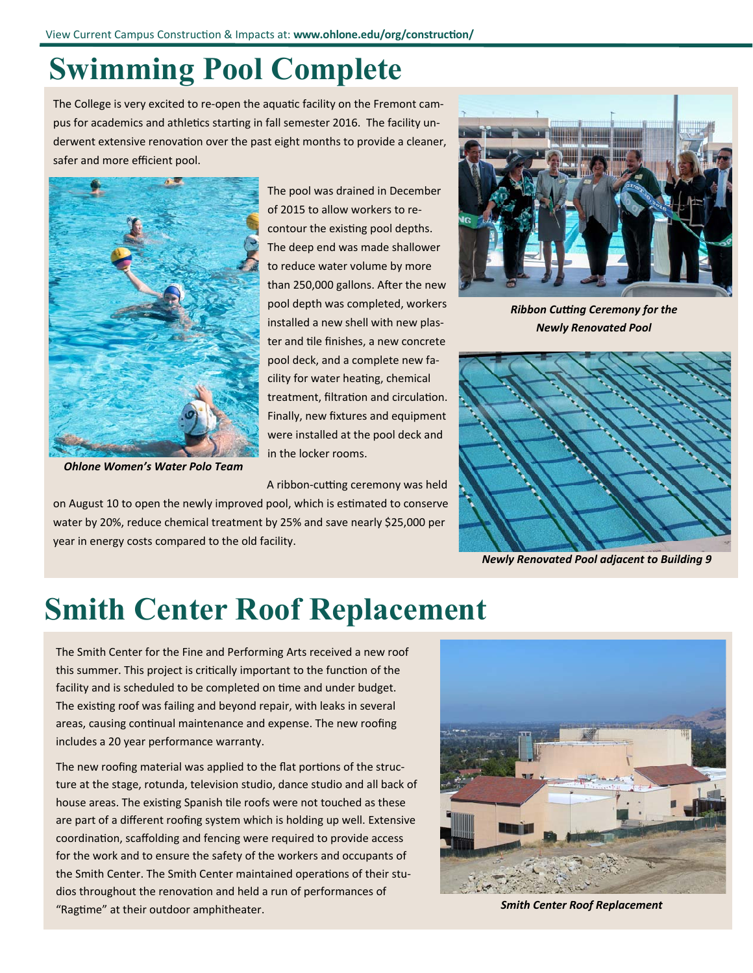#### **Swimming Pool Complete**

The College is very excited to re-open the aquatic facility on the Fremont campus for academics and athletics starting in fall semester 2016. The facility underwent extensive renovation over the past eight months to provide a cleaner, safer and more efficient pool.



The pool was drained in December of 2015 to allow workers to re‐ contour the existing pool depths. The deep end was made shallower to reduce water volume by more than 250,000 gallons. After the new pool depth was completed, workers installed a new shell with new plas‐ ter and tile finishes, a new concrete pool deck, and a complete new fa‐ cility for water heating, chemical treatment, filtration and circulation. Finally, new fixtures and equipment were installed at the pool deck and in the locker rooms.

*Ohlone Women's Water Polo Team* 

A ribbon-cutting ceremony was held

on August 10 to open the newly improved pool, which is estimated to conserve water by 20%, reduce chemical treatment by 25% and save nearly \$25,000 per year in energy costs compared to the old facility.



**Ribbon Cutting Ceremony for the** *Newly Renovated Pool* 



*Newly Renovated Pool adjacent to Building 9* 

#### **Smith Center Roof Replacement**

The Smith Center for the Fine and Performing Arts received a new roof this summer. This project is critically important to the function of the facility and is scheduled to be completed on time and under budget. The existing roof was failing and beyond repair, with leaks in several areas, causing continual maintenance and expense. The new roofing includes a 20 year performance warranty.

The new roofing material was applied to the flat portions of the structure at the stage, rotunda, television studio, dance studio and all back of house areas. The existing Spanish tile roofs were not touched as these are part of a different roofing system which is holding up well. Extensive coordination, scaffolding and fencing were required to provide access for the work and to ensure the safety of the workers and occupants of the Smith Center. The Smith Center maintained operations of their studios throughout the renovation and held a run of performances of "Ragtime" at their outdoor amphitheater.



*Smith Center Roof Replacement*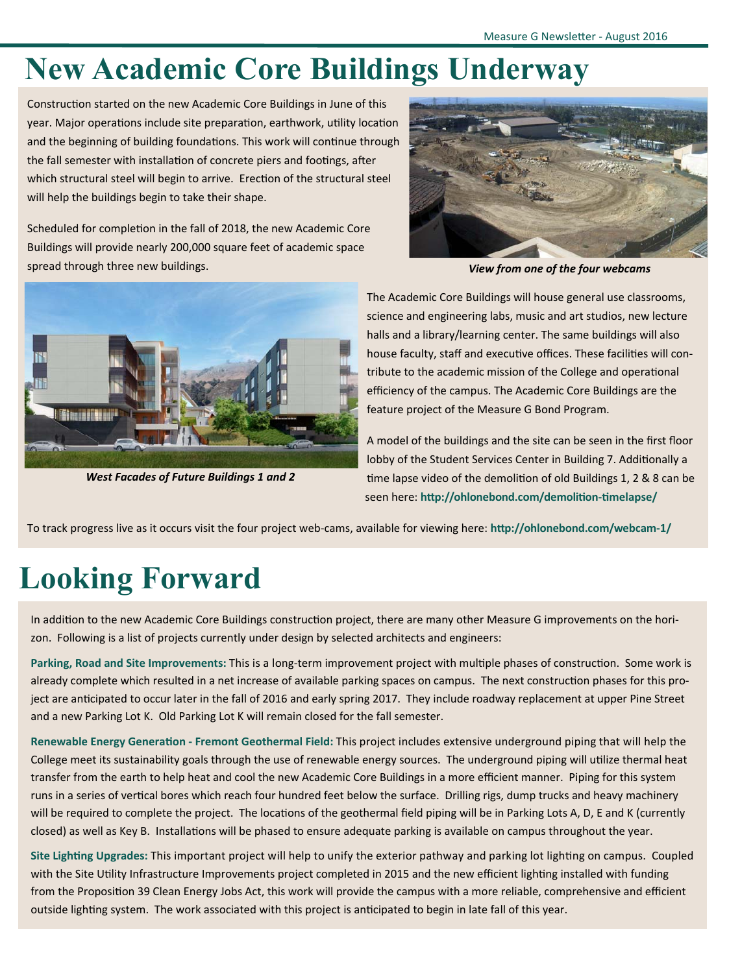### **New Academic Core Buildings Underway**

Construction started on the new Academic Core Buildings in June of this year. Major operations include site preparation, earthwork, utility location and the beginning of building foundations. This work will continue through the fall semester with installation of concrete piers and footings, after which structural steel will begin to arrive. Erection of the structural steel will help the buildings begin to take their shape.

Scheduled for completion in the fall of 2018, the new Academic Core Buildings will provide nearly 200,000 square feet of academic space spread through three new buildings.



*View from one of the four webcams* 



*West Facades of Future Buildings 1 and 2* 

The Academic Core Buildings will house general use classrooms, science and engineering labs, music and art studios, new lecture halls and a library/learning center. The same buildings will also house faculty, staff and executive offices. These facilities will contribute to the academic mission of the College and operational efficiency of the campus. The Academic Core Buildings are the feature project of the Measure G Bond Program.

A model of the buildings and the site can be seen in the first floor lobby of the Student Services Center in Building 7. Additionally a time lapse video of the demolition of old Buildings 1, 2 & 8 can be seen here: http://ohlonebond.com/demolition-timelapse/

To track progress live as it occurs visit the four project web-cams, available for viewing here: http://ohlonebond.com/webcam-1/

## **Looking Forward**

In addition to the new Academic Core Buildings construction project, there are many other Measure G improvements on the horizon. Following is a list of projects currently under design by selected architects and engineers:

Parking, Road and Site Improvements: This is a long-term improvement project with multiple phases of construction. Some work is already complete which resulted in a net increase of available parking spaces on campus. The next construction phases for this project are anticipated to occur later in the fall of 2016 and early spring 2017. They include roadway replacement at upper Pine Street and a new Parking Lot K. Old Parking Lot K will remain closed for the fall semester.

Renewable Energy Generation - Fremont Geothermal Field: This project includes extensive underground piping that will help the College meet its sustainability goals through the use of renewable energy sources. The underground piping will utilize thermal heat transfer from the earth to help heat and cool the new Academic Core Buildings in a more efficient manner. Piping for this system runs in a series of vertical bores which reach four hundred feet below the surface. Drilling rigs, dump trucks and heavy machinery will be required to complete the project. The locations of the geothermal field piping will be in Parking Lots A, D, E and K (currently closed) as well as Key B. Installations will be phased to ensure adequate parking is available on campus throughout the year.

Site Lighting Upgrades: This important project will help to unify the exterior pathway and parking lot lighting on campus. Coupled with the Site Utility Infrastructure Improvements project completed in 2015 and the new efficient lighting installed with funding from the Proposition 39 Clean Energy Jobs Act, this work will provide the campus with a more reliable, comprehensive and efficient outside lighting system. The work associated with this project is anticipated to begin in late fall of this year.